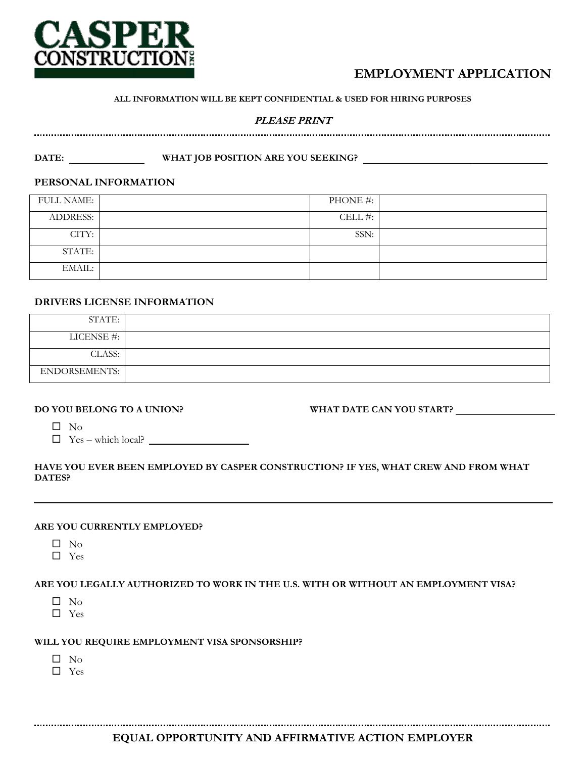

# **EMPLOYMENT APPLICATION**

#### **ALL INFORMATION WILL BE KEPT CONFIDENTIAL & USED FOR HIRING PURPOSES**

## **PLEASE PRINT**

DATE: **WHAT JOB POSITION ARE YOU SEEKING?** 

#### **PERSONAL INFORMATION**

| <b>FULL NAME:</b> | PHONE #: |  |
|-------------------|----------|--|
| <b>ADDRESS:</b>   | CELL#:   |  |
| CITY:             | SSN:     |  |
| STATE:            |          |  |
| EMAIL:            |          |  |

### **DRIVERS LICENSE INFORMATION**

| STATE:        |  |
|---------------|--|
| LICENSE #:    |  |
| CLASS:        |  |
| ENDORSEMENTS: |  |

#### **DO YOU BELONG TO A UNION?**

**WHAT DATE CAN YOU START?**

 $\square$  No

 $\Box$  Yes – which local?  $\Box$ 

#### **HAVE YOU EVER BEEN EMPLOYED BY CASPER CONSTRUCTION? IF YES, WHAT CREW AND FROM WHAT DATES?**

### **ARE YOU CURRENTLY EMPLOYED?**

- $\square$  No
- $\square$  Yes

#### **ARE YOU LEGALLY AUTHORIZED TO WORK IN THE U.S. WITH OR WITHOUT AN EMPLOYMENT VISA?**

- $\square$  No
- $\square$  Yes

#### **WILL YOU REQUIRE EMPLOYMENT VISA SPONSORSHIP?**

- $\square$  No
- Yes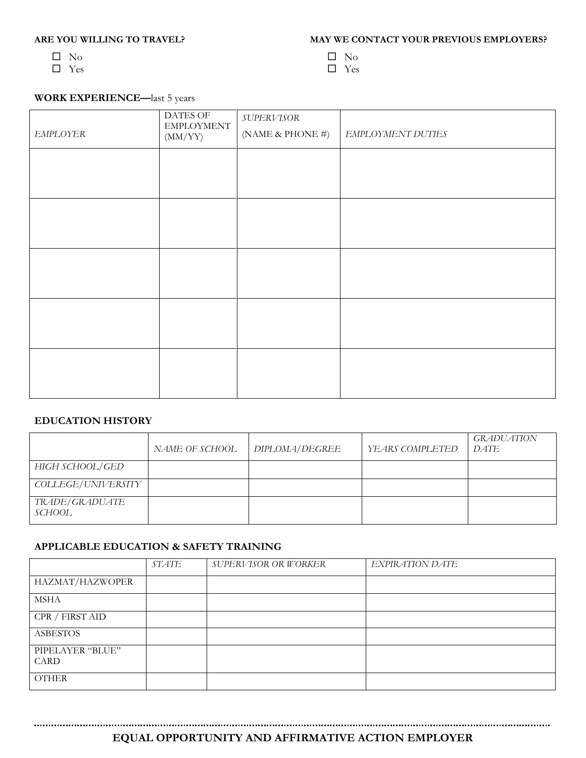## **ARE YOU WILLING TO TRAVEL?**

- $\square$  No
- □ Yes
- $\Box\,$  No
- □ Yes

## **WORK EXPERIENCE—**last 5 years

| EMPLOYER | <b>DATES OF</b><br><b>EMPLOYMENT</b><br>(MM/YY) | $\ensuremath{\mathit{SUPERVISOR}}$<br>(NAME & PHONE #) | EMPLOYMENT DUTIES |
|----------|-------------------------------------------------|--------------------------------------------------------|-------------------|
|          |                                                 |                                                        |                   |
|          |                                                 |                                                        |                   |
|          |                                                 |                                                        |                   |
|          |                                                 |                                                        |                   |
|          |                                                 |                                                        |                   |
|          |                                                 |                                                        |                   |

#### **EDUCATION HISTORY**

|                          | NAME OF SCHOOL | DIPLOMA/DEGREE | YEARS COMPLETED | <i>GRADUATION</i><br>DATE |
|--------------------------|----------------|----------------|-----------------|---------------------------|
| HIGH SCHOOL/GED          |                |                |                 |                           |
| COLLEGE/UNIVERSITY       |                |                |                 |                           |
| TRADE/GRADUATE<br>SCHOOL |                |                |                 |                           |

## **APPLICABLE EDUCATION & SAFETY TRAINING**

|                          | STATE | SUPERVISOR OR WORKER | EXPIRATION DATE |
|--------------------------|-------|----------------------|-----------------|
| HAZMAT/HAZWOPER          |       |                      |                 |
| <b>MSHA</b>              |       |                      |                 |
| CPR / FIRST AID          |       |                      |                 |
| <b>ASBESTOS</b>          |       |                      |                 |
| PIPELAYER "BLUE"<br>CARD |       |                      |                 |
| <b>OTHER</b>             |       |                      |                 |

**EQUAL OPPORTUNITY AND AFFIRMATIVE ACTION EMPLOYER**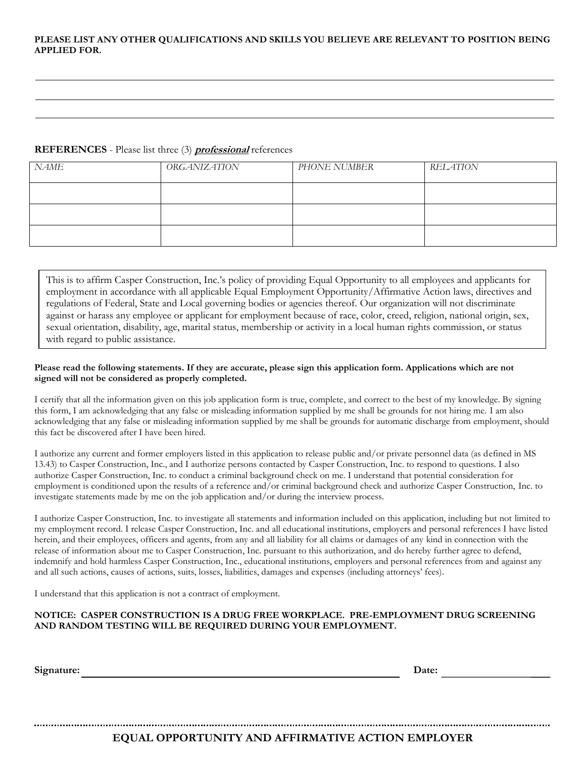#### **PLEASE LIST ANY OTHER QUALIFICATIONS AND SKILLS YOU BELIEVE ARE RELEVANT TO POSITION BEING APPLIED FOR.**

#### **REFERENCES** - Please list three (3) **professional** references

| NAME | <b>ORGANIZATION</b> | PHONE NUMBER | <b>RELATION</b> |
|------|---------------------|--------------|-----------------|
|      |                     |              |                 |
|      |                     |              |                 |
|      |                     |              |                 |

This is to affirm Casper Construction, Inc.'s policy of providing Equal Opportunity to all employees and applicants for employment in accordance with all applicable Equal Employment Opportunity/Affirmative Action laws, directives and regulations of Federal, State and Local governing bodies or agencies thereof. Our organization will not discriminate against or harass any employee or applicant for employment because of race, color, creed, religion, national origin, sex, sexual orientation, disability, age, marital status, membership or activity in a local human rights commission, or status with regard to public assistance.

#### **Please read the following statements. If they are accurate, please sign this application form. Applications which are not signed will not be considered as properly completed.**

I certify that all the information given on this job application form is true, complete, and correct to the best of my knowledge. By signing this form, I am acknowledging that any false or misleading information supplied by me shall be grounds for not hiring me. I am also acknowledging that any false or misleading information supplied by me shall be grounds for automatic discharge from employment, should this fact be discovered after I have been hired.

I authorize any current and former employers listed in this application to release public and/or private personnel data (as defined in MS 13.43) to Casper Construction, Inc., and I authorize persons contacted by Casper Construction, Inc. to respond to questions. I also authorize Casper Construction, Inc. to conduct a criminal background check on me. I understand that potential consideration for employment is conditioned upon the results of a reference and/or criminal background check and authorize Casper Construction, Inc. to investigate statements made by me on the job application and/or during the interview process.

I authorize Casper Construction, Inc. to investigate all statements and information included on this application, including but not limited to my employment record. I release Casper Construction, Inc. and all educational institutions, employers and personal references I have listed herein, and their employees, officers and agents, from any and all liability for all claims or damages of any kind in connection with the release of information about me to Casper Construction, Inc. pursuant to this authorization, and do hereby further agree to defend, indemnify and hold harmless Casper Construction, Inc., educational institutions, employers and personal references from and against any and all such actions, causes of actions, suits, losses, liabilities, damages and expenses (including attorneys' fees).

I understand that this application is not a contract of employment.

#### **NOTICE: CASPER CONSTRUCTION IS A DRUG FREE WORKPLACE. PRE-EMPLOYMENT DRUG SCREENING AND RANDOM TESTING WILL BE REQUIRED DURING YOUR EMPLOYMENT.**

**Signature: Date:**

#### **EQUAL OPPORTUNITY AND AFFIRMATIVE ACTION EMPLOYER**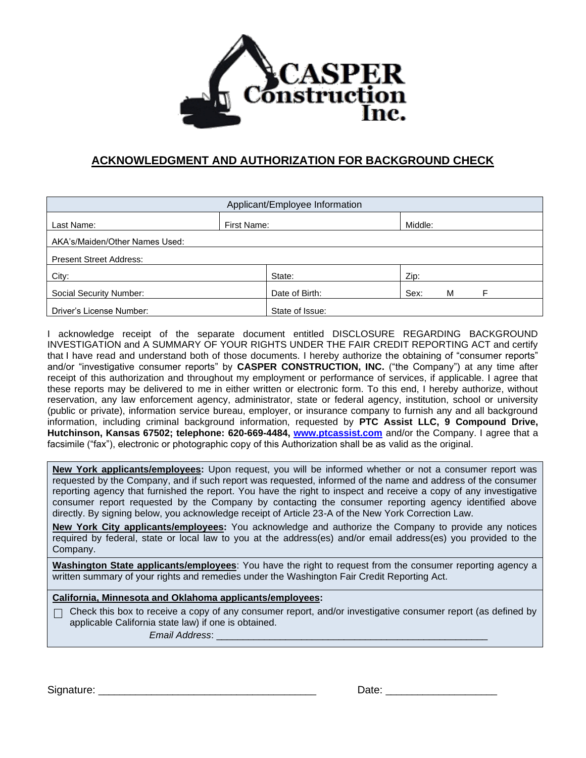

## **ACKNOWLEDGMENT AND AUTHORIZATION FOR BACKGROUND CHECK**

| Applicant/Employee Information |                 |                |  |
|--------------------------------|-----------------|----------------|--|
| Last Name:                     | First Name:     | Middle:        |  |
| AKA's/Maiden/Other Names Used: |                 |                |  |
| <b>Present Street Address:</b> |                 |                |  |
| City:                          | State:          | Zip:           |  |
| Social Security Number:        | Date of Birth:  | Sex:<br>M<br>F |  |
| Driver's License Number:       | State of Issue: |                |  |

I acknowledge receipt of the separate document entitled DISCLOSURE REGARDING BACKGROUND INVESTIGATION and A SUMMARY OF YOUR RIGHTS UNDER THE FAIR CREDIT REPORTING ACT and certify that I have read and understand both of those documents. I hereby authorize the obtaining of "consumer reports" and/or "investigative consumer reports" by **CASPER CONSTRUCTION, INC.** ("the Company") at any time after receipt of this authorization and throughout my employment or performance of services, if applicable. I agree that these reports may be delivered to me in either written or electronic form. To this end, I hereby authorize, without reservation, any law enforcement agency, administrator, state or federal agency, institution, school or university (public or private), information service bureau, employer, or insurance company to furnish any and all background information, including criminal background information, requested by **PTC Assist LLC, 9 Compound Drive, Hutchinson, Kansas 67502; telephone: 620-669-4484, [www.ptcassist.com](http://www.ptcassist.com/)** and/or the Company. I agree that a facsimile ("fax"), electronic or photographic copy of this Authorization shall be as valid as the original.

**New York applicants/employees:** Upon request, you will be informed whether or not a consumer report was requested by the Company, and if such report was requested, informed of the name and address of the consumer reporting agency that furnished the report. You have the right to inspect and receive a copy of any investigative consumer report requested by the Company by contacting the consumer reporting agency identified above directly. By signing below, you acknowledge receipt of Article 23-A of the New York Correction Law.

**New York City applicants/employees:** You acknowledge and authorize the Company to provide any notices required by federal, state or local law to you at the address(es) and/or email address(es) you provided to the Company.

**Washington State applicants/employees**: You have the right to request from the consumer reporting agency a written summary of your rights and remedies under the Washington Fair Credit Reporting Act.

### **California, Minnesota and Oklahoma applicants/employees:**

 $\Box$  Check this box to receive a copy of any consumer report, and/or investigative consumer report (as defined by applicable California state law) if one is obtained.

 *Email Address*: \_\_\_\_\_\_\_\_\_\_\_\_\_\_\_\_\_\_\_\_\_\_\_\_\_\_\_\_\_\_\_\_\_\_\_\_\_\_\_\_\_\_\_\_\_\_\_\_\_\_\_

Signature: \_\_\_\_\_\_\_\_\_\_\_\_\_\_\_\_\_\_\_\_\_\_\_\_\_\_\_\_\_\_\_\_\_\_\_\_\_\_\_\_\_ Date: \_\_\_\_\_\_\_\_\_\_\_\_\_\_\_\_\_\_\_\_\_